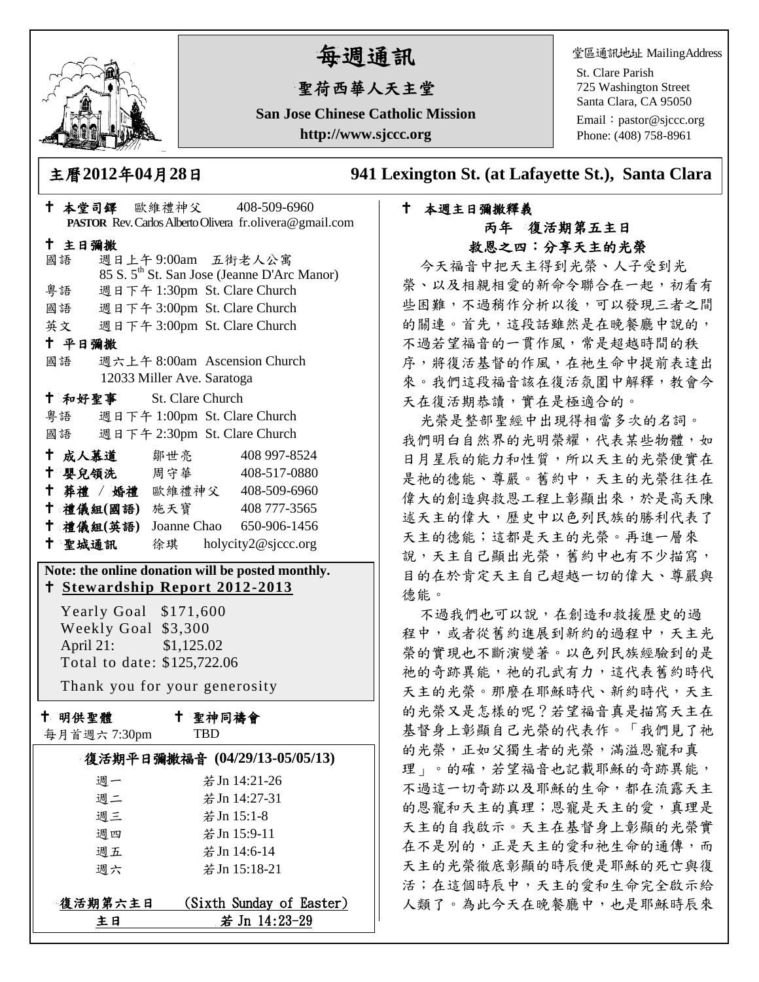

# 每週通訊

## 聖荷西華人天主堂

**San Jose Chinese Catholic Mission http://www.sjccc.org**

堂區通訊地址 MailingAddress

St. Clare Parish 725 Washington Street Santa Clara, CA 95050

Email: [pastor@sjccc.org](mailto:pastor@sjccc.org) Phone: (408) 758-8961

主曆**2012**年**04**月**28**日 **941 Lexington St. (at Lafayette St.), Santa Clara** 

### 本週主日彌撒釋義 丙年 復活期第五主日 救恩之四:分享天主的光榮

今天福音中把天主得到光榮、人子受到光 榮、以及相親相愛的新命令聯合在一起,初看有 些困難,不過稍作分析以後,可以發現三者之間 的關連。首先,這段話雖然是在晚餐廳中說的, 不過若望福音的一貫作風,常是超越時間的秩 序,將復活基督的作風,在祂生命中提前表達出 來。我們這段福音該在復活氛圍中解釋,教會今 天在復活期恭讀,實在是極適合的。

光榮是整部聖經中出現得相當多次的名詞。 我們明白自然界的光明榮耀,代表某些物體,如 日月星辰的能力和性質,所以天主的光榮便實在 是祂的德能、尊嚴。舊約中,天主的光榮往往在 偉大的創造與救恩工程上彰顯出來,於是高天陳 述天主的偉大,歷史中以色列民族的勝利代表了 天主的德能;這都是天主的光榮。再進一層來 說,天主自己顯出光榮,舊約中也有不少描寫, 目的在於肯定天主自己超越一切的偉大、尊嚴與 德能。

不過我們也可以說,在創造和救援歷史的過 程中,或者從舊約進展到新約的過程中,天主光 榮的實現也不斷演變著。以色列民族經驗到的是 祂的奇跡異能,祂的孔武有力,這代表舊約時代 天主的光榮。那麼在耶穌時代、新約時代,天主 的光榮又是怎樣的呢?若望福音真是描寫天主在 基督身上彰顯自己光榮的代表作。「我們見了祂 的光榮,正如父獨生者的光榮,滿溢恩寵和真 理」。的確,若望福音也記載耶穌的奇跡異能, 不過這一切奇跡以及耶穌的生命,都在流露天主 的恩寵和天主的真理;恩寵是天主的愛,真理是 天主的自我啟示。天主在基督身上彰顯的光榮實 在不是別的,正是天主的愛和祂生命的通傳,而 天主的光榮徹底彰顯的時辰便是耶穌的死亡與復 活;在這個時辰中,天主的愛和生命完全啟示給 人類了。為此今天在晚餐廳中,也是耶穌時辰來

|                              |                                                                                                                                                                    | + 本堂司鐸 歐維禮神父 408-509-6960<br>PASTOR Rev. Carlos Alberto Olivera fr.olivera@gmail.com                                                                                                                                                                                                                                                                           |  |
|------------------------------|--------------------------------------------------------------------------------------------------------------------------------------------------------------------|----------------------------------------------------------------------------------------------------------------------------------------------------------------------------------------------------------------------------------------------------------------------------------------------------------------------------------------------------------------|--|
| 十 主日彌撒<br>國語<br>粤語<br>十 平日彌撒 |                                                                                                                                                                    | 週日上午9:00am 五街老人公寓<br>85 S. 5 <sup>th</sup> St. San Jose (Jeanne D'Arc Manor)<br>週日下午 1:30pm St. Clare Church<br>國語 週日下午 3:00pm St. Clare Church<br>英文 週日下午 3:00pm St. Clare Church<br>國語 週六上午 8:00am Ascension Church                                                                                                                                          |  |
| April 21:                    | 12033 Miller Ave. Saratoga<br>+ 和好聖事 St. Clare Church<br>← 成人慕道   鄒世亮<br>Yearly Goal \$171,600<br>Weekly Goal \$3,300<br>\$1,125.02<br>Total to date: \$125,722.06 | 粤語 週日下午 1:00pm St. Clare Church<br>國語 週日下午 2:30pm St. Clare Church<br>408 997-8524<br><sup>†</sup> 嬰兒領洗 周守華 408-517-0880<br>+ 葬禮 / 婚禮 歐維禮神父 408-509-6960<br>† 禮儀組(國語) 施天寶 408777-3565<br>† 禮儀組(英語) Joanne Chao 650-906-1456<br><sup>†</sup> 聖城通訊 徐琪 holycity2@sjccc.org<br>Note: the online donation will be posted monthly.<br>† Stewardship Report 2012-2013 |  |
|                              |                                                                                                                                                                    | Thank you for your generosity                                                                                                                                                                                                                                                                                                                                  |  |
| + 明供聖體<br>每月首週六 7:30pm       |                                                                                                                                                                    | 十 聖神同禱會<br><b>TBD</b>                                                                                                                                                                                                                                                                                                                                          |  |
| 週一<br>週三<br>週四<br>週五<br>週六   | 週二                                                                                                                                                                 | 復活期平日彌撒福音 (04/29/13-05/05/13)<br>若 Jn 14:21-26<br>若 Jn 14:27-31<br>若 Jn 15:1-8<br>若 Jn 15:9-11<br>若Jn 14:6-14<br>若 Jn 15:18-21                                                                                                                                                                                                                                 |  |

復活期第六主日 (Sixth Sunday of Easter) 主日 若 Jn 14:23-29